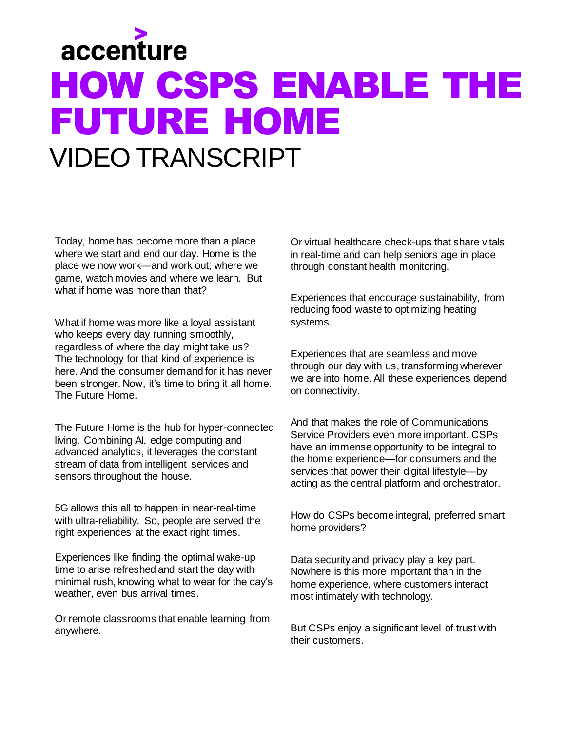## accenture HOW CSPS ENABLE THE FUTURE HOME VIDEO TRANSCRIPT

Today, home has become more than a place where we start and end our day. Home is the place we now work—and work out; where we game, watch movies and where we learn. But what if home was more than that?

What if home was more like a loyal assistant who keeps every day running smoothly, regardless of where the day might take us? The technology for that kind of experience is here. And the consumer demand for it has never been stronger. Now, it's time to bring it all home. The Future Home.

The Future Home is the hub for hyper-connected living. Combining AI, edge computing and advanced analytics, it leverages the constant stream of data from intelligent services and sensors throughout the house.

5G allows this all to happen in near-real-time with ultra-reliability. So, people are served the right experiences at the exact right times.

Experiences like finding the optimal wake-up time to arise refreshed and start the day with minimal rush, knowing what to wear for the day's weather, even bus arrival times.

Or remote classrooms that enable learning from anywhere.

Or virtual healthcare check-ups that share vitals in real-time and can help seniors age in place through constant health monitoring.

Experiences that encourage sustainability, from reducing food waste to optimizing heating systems.

Experiences that are seamless and move through our day with us, transforming wherever we are into home. All these experiences depend on connectivity.

And that makes the role of Communications Service Providers even more important. CSPs have an immense opportunity to be integral to the home experience—for consumers and the services that power their digital lifestyle—by acting as the central platform and orchestrator.

How do CSPs become integral, preferred smart home providers?

Data security and privacy play a key part. Nowhere is this more important than in the home experience, where customers interact most intimately with technology.

But CSPs enjoy a significant level of trust with their customers.